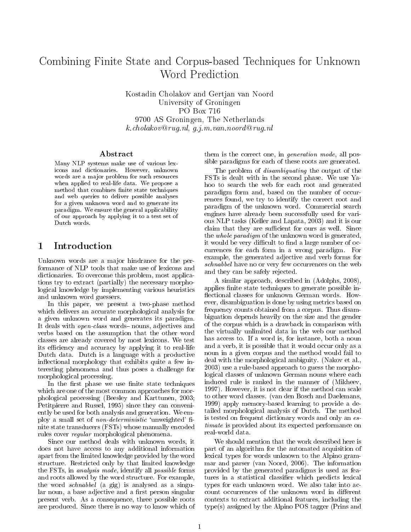# Combining Finite State and Corpus-based Techniques for Unknown Word Prediction

Kostadin Cholakov and Gertjan van Noord University of Groningen PO Box 716 9700 AS Groningen, The Netherlands k.cholakov@rug.nl, g.j.m.van.noord@rug.nl

#### Abstract

Many NLP systems make use of various lexicons and dictionaries. However, unknown words are a major problem for such resources when applied to real-life data. We propose a method that combines finite state techniques and web queries to deliver possible analyses for a given unknown word and to generate its paradigm. We ensure the general applicability of our approach by applying it to a test set of Dutch words.

## 1 Introduction

Unknown words are a major hindrance for the performance of NLP tools that make use of lexicons and dictionaries. To overcome this problem, most applications try to extract (partially) the necessary morphological knowledge by implementing various heuristics and unknown word guessers.

In this paper, we present a two-phase method which delivers an accurate morphological analysis for a given unknown word and generates its paradigm. It deals with *open-class* words-nouns, adjectives and verbs based on the assumption that the other word classes are already covered by most lexicons. We test its efficiency and accuracy by applying it to real-life Dutch data. Dutch is a language with a productive inflectional morphology that exhibits quite a few interesting phenomena and thus poses a challenge for morphological processing.

In the first phase we use finite state techniques which are one of the most common approaches for morphological processing (Beesley and Karttunen, 2003; Petitpierre and Russel, 1995) since they can conveniently be used for both analysis and generation. We employ a small set of *non-deterministic* 'unweighted' finite state transducers (FSTs) whose manually encoded rules cover regular morphological phenomena.

Since our method deals with unknown words, it does not have access to any additional information apart from the limited knowledge provided by the word structure. Restricted only by that limited knowledge the FSTs, in analysis mode, identify all possible forms and roots allowed by the word structure. For example, the word *schnabbel* (a gig) is analysed as a singular noun, a base adjective and a first person singular present verb. As a consequence, three possible roots are produced. Since there is no way to know which of them is the correct one, in generation mode, all possible paradigms for each of these roots are generated.

The problem of disambiguating the output of the FSTs is dealt with in the second phase. We use Yahoo to search the web for each root and generated paradigm form and, based on the number of occurrences found, we try to identify the correct root and paradigm of the unknown word. Commercial search engines have already been successfully used for various NLP tasks (Keller and Lapata, 2003) and it is our claim that they are sufficient for ours as well. Since the whole paradigm of the unknown word is generated, it would be very difficult to find a large number of occurrences for each form in a wrong paradigm. For example, the generated adjective and verb forms for schnabbel have no or very few occurrences on the web and they can be safely rejected.

A similar approach, described in (Adolphs, 2008), applies finite state techniques to generate possible inflectional classes for unknown German words. However, disambiguation is done by using metrics based on frequency counts obtained from a corpus. Thus disambiguation depends heavily on the size and the gender of the corpus which is a drawback in comparison with the virtually unlimited data in the web our method has access to. If a word is, for instance, both a noun and a verb, it is possible that it would occur only as a noun in a given corpus and the method would fail to deal with the morphological ambiguity. (Nakov et al., 2003) use a rule-based approach to guess the morphological classes of unknown German nouns where each induced rule is ranked in the manner of (Mikheev, 1997). However, it is not clear if the method can scale to other word classes. (van den Bosch and Daelemans, 1999) apply memory-based learning to provide a detailed morphological analysis of Dutch. The method is tested on frequent dictionary words and only an estimate is provided about its expected performance on real-world data.

We should mention that the work described here is part of an algorithm for the automated acquisition of lexical types for words unknown to the Alpino grammar and parser (van Noord, 2006). The information provided by the generated paradigms is used as features in a statistical classifier which predicts lexical types for each unknown word. We also take into account occurrences of the unknown word in different contexts to extract additional features, including the type(s) assigned by the Alpino POS tagger (Prins and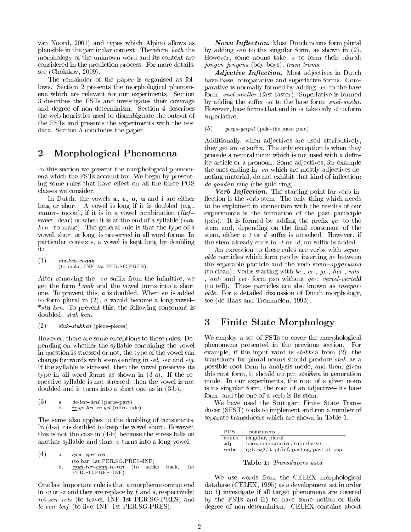van Noord, 2001) and types which Alpino allows as plausible in the particular context. Therefore, both the morphology of the unknown word and its context are considered in the prediction process. For more details, see (Cholakov, 2009).

The remainder of the paper is organised as follows. Section 2 presents the morphological phenomena which are relevant for our experiments. Section 3 describes the FSTs and investigates their coverage and degree of non-determinism. Section 4 describes the web heuristics used to disambiguate the output of the FSTs and presents the experiments with the test data. Section 5 concludes the paper.

## 2 Morphological Phenomena

In this section we present the morphological phenomena which the FSTs account for. We begin by presenting some rules that have effect on all the three POS classes we consider.

In Dutch, the vowels a, e, o, u and i are either long or short. A vowel is long if it is doubled (e.g., *maan* – moon), if it is in a vowel combination (lief sweet, dear) or when it is at the end of a syllable  $(ma$  $ken$ -to make). The general rule is that the type of a vowel, short or long, is preserved in all word forms. In particular contexts, a vowel is kept long by doubling it:

 $(1)$  ma-ken-maak (to make, INF-1st PER.SG.PRES)

After removing the  $-en$  suffix from the infinitive, we get the form  $*mak$  and the vowel turns into a short one. To prevent this, a is doubled. When en is added to form plural in  $(2)$ , u would become a long vowel- $*$ stu-ken. To prevent this, the following consonant is  $d$ oubled- $stuk-ken$ .

```
(2) stuk-stukken (piece-pieces)
```
However, there are some exceptions to these rules. Depending on whether the syllable containing the vowel in question is stressed or not, the type of the vowel can change for words with stems ending in  $-el$ ,  $-er$  and  $-iq$ . If the syllable is stressed, then the vowel preserves its type in all word forms as shown in (3-a). If the respective syllable is not stressed, then the vowel is not doubled and it turns into a short one as in (3-b).

(3) a. 
$$
\underline{de}
$$
-len-deel (parts-part)  
b.  $\underline{re}$ -ge-len-re-gel (rules-rule)

The same also applies to the doubling of consonants. In  $(4-a)$  r is doubled to keep the vowel short. However, this is not the case in (4-b) because the stress falls on another syllable and thus, e turns into a long vowel.

(4) a. 
$$
sper-sper-ren
$$

\n(to bar, 1st PER.SG.PRES-INF)

\nb.  $\underline{count\text{-}ter\text{-}coun\text{-}te\text{-}ren}$  (to strike back, 1st PER.SG.PRES-INF)

One last important rule is that a morpheme cannot end in  $-v$  or  $-z$  and they are replace by f and s, respectively: rei-zen-reis (to travel, INF-1st PER.SG.PRES) and  $le-ven-leet$  (to live, INF-1st PER.SG.PRES).

**Noun Inflection.** Most Dutch nouns form plural by adding -en to the singular form, as shown in (2). However, some nouns take  $-s$  to form their plural: jongen-jongens (boy-boys), tram-trams.

Adjective Inflection. Most adjectives in Dutch have base, comparative and superlative forms. Comparative is normally formed by adding -er to the base form: snel-sneller (fast-faster). Superlative is formed by adding the suffix  $-st$  to the base form: snel-snelst. However, base forms that end in -s take only -t to form superlative:

 $(5)$  geeps-geepst (pale-the most pale)

Additionally, when adjectives are used attributively, they get an  $-e$  suffix. The only exception is when they precede a neutral noun which is not used with a definite article or a pronoun. Some adjectives, for example the ones ending in -en which are mostly adjectives denoting material, do not exhibit that kind of inflection: de gouden ring (the gold ring).

Verb Inflection. The starting point for verb inflection is the verb stem. The only thing which needs to be explained in connection with the results of our experiments is the formation of the past participle (psp). It is formed by adding the prefix  $ge$ - to the stem and, depending on the final consonant of the stem, either a t or d suffix is attached. However, if the stem already ends in  $-t$  or  $-d$ , no suffix is added.

An exception to these rules are verbs with *separ*able particles which form psp by inserting ge between the separable particle and the verb stem-opgeruimd (to clean). Verbs starting with be-, er-, ge-, her-, mis ont- and ver- form psp without  $ge:$  vertel-verteld (to tell). These particles are also known as inseparable. For a detailed discussion of Dutch morphology, see (de Haas and Trommelen, 1993).

# 3 Finite State Morphology

We employ a set of FSTs to cover the morphological phenomena presented in the previous section. For example, if the input word is stukken from (2), the transducer for plural nouns should produce stuk as a possible root form in analysis mode, and then, given this root form, it should output stukken in generation mode. In our experiments, the root of a given noun is its singular form, the root of an adjective its base form, and the one of a verb is its stem.

We have used the Stuttgart Finite State Transducer (SFST) tools to implement and run a number of separate transducers which are shown in Table 1.

| singular, plural<br>nouns                              |  |
|--------------------------------------------------------|--|
| base, comparative, superlative<br>adi                  |  |
| $ $ sg1, sg2/3, pl/inf, past-sg, past-pl, psp<br>verbs |  |



We use words from the CELEX morphological database (CELEX, 1995) as a development set in order to: i) investigate if all target phenomena are covered by the FSTs and ii) to have some notion of their degree of non-determinism. CELEX contains about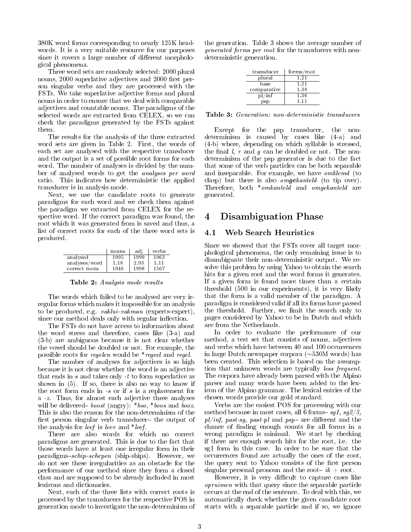380K word forms corresponding to nearly 125K headwords. It is a very suitable resource for our purposes since it covers a large number of different morphological phenomena.

Three word sets are randomly selected: 2000 plural nouns, 2000 superlative adjectives and 2000 first person singular verbs and they are processed with the FSTs. We take superlative adjective forms and plural nouns in order to ensure that we deal with comparable adjectives and countable nouns. The paradigms of the selected words are extracted from CELEX, so we can check the paradigms generated by the FSTs against them.

The results for the analysis of the three extracted word sets are given in Table 2. First, the words of each set are analysed with the respective transducer and the output is a set of possible root forms for each word. The number of analyses is divided by the number of analysed words to get the analyses per word ratio. This indicates how deterministic the applied transducer is in analysis mode.

Next, we use the candidate roots to generate paradigms for each word and we check them against the paradigm we extracted from CELEX for the respective word. If the correct paradigm was found, the root which it was generated from is saved and thus, a list of correct roots for each of the three word sets is produced.

|               | nouns | adi  | verbs |
|---------------|-------|------|-------|
| analysed      | 1995  | 1999 | 1963  |
| analyses/word | 1.18  | 2.93 | 1.11  |
| correct roots | 1946  | 1998 | 1567  |

Table 2: Analysis mode results

The words which failed to be analysed are very irregular forms which makes it impossible for an analysis to be produced, e.g. *vaklui-vakman* (experts-expert), since our method deals only with regular inflection.

The FSTs do not have access to information about the word stress and therefore, cases like (3-a) and (3-b) are ambiguous because it is not clear whether the vowel should be doubled or not. For example, the possible roots for regelen would be \*regeel and regel.

The number of analyses for adjectives is so high because it is not clear whether the word is an adjective that ends in  $s$  and takes only  $-t$  to form superlative as shown in (5). If so, there is also no way to know if the root form ends in  $-s$  or if s is a replacement for a -z. Thus, for almost each adjective three analyses will be delivered - boost (angry):  $*$ boo,  $*$ boos and booz. This is also the reason for the non-determinism of the first person singular verb transducer- the output of the analysis for leef is leev and \*leef.

There are also words for which no correct paradigms are generated. This is due to the fact that those words have at least one irregular form in their paradigms-schip-schepen (ship-ships). However, we do not see these irregularities as an obstacle for the performance of our method since they form a closed class and are supposed to be already included in most lexicons and dictionaries.

Next, each of the three lists with correct roots is processed by the transducers for the respective POS in generation mode to investigate the non-determinism of the generation. Table 3 shows the average number of generated forms per root for the transducers with nondeterministic generation.

| transducer  | forms/root |
|-------------|------------|
| plural      | 1.21       |
| base        | 1.21       |
| comparative | 1.38       |
| $p$ /inf    | 1.36       |
| psp         | 1 1 1      |

Table 3: Generation: non-deterministic transducers

Except for the psp transducer, the nondeterminism is caused by cases like (4-a) and (4-b) where, depending on which syllable is stressed, the final  $l, r$  and  $g$  can be doubled or not. The nondeterminism of the psp generator is due to the fact that some of the verb particles can be both separable and inseparable. For example, we have omklemd (to clasp) but there is also omgekanteld (to tip over). Therefore, both \*omkanteld and omgekanteld are generated.

### 4 Disambiguation Phase

#### 4.1 Web Search Heuristics

Since we showed that the FSTs cover all target morphological phenomena, the only remaining issue is to disambiguate their non-deterministic output. We resolve this problem by using Yahoo to obtain the search hits for a given root and the word forms it generates. If a given form is found more times than a certain threshold (500 in our experiments), it is very likely that the form is a valid member of the paradigm. A paradigm is considered valid if all its forms have passed the threshold. Further, we limit the search only to pages considered by Yahoo to be in Dutch and which are from the Netherlands.

In order to evaluate the performance of our method, a test set that consists of nouns, adjectives and verbs which have between 40 and 100 occurrences in large Dutch newspaper corpora (∼530M words) has been created. This selection is based on the assumption that unknown words are typically less frequent. The corpora have already been parsed with the Alpino parser and many words have been added to the lexicon of the Alpino grammar. The lexical entries of the chosen words provide our gold standard.

Verbs are the easiest POS for processing with our method because in most cases, all 6 forms- $sg1, sg2/3$ ,  $pl/inf$ , past-sg, past-pl and psp- are different and the chance of finding enough counts for all forms in a wrong paradigm is minimal. We start by checking if there are enough search hits for the root, i.e. the sg1 form in this case. In order to be sure that the occurrences found are actually the ones of the root, the query sent to Yahoo consists of the first person singular personal pronoun and the root-  $ik + root$ .

However, it is very difficult to capture cases like opruimen with that query since the separable particle occurs at the end of the sentence. To deal with this, we automatically check whether the given candidate root starts with a separable particle and if so, we ignore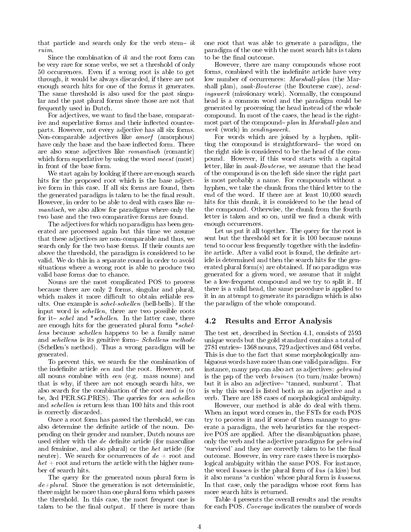that particle and search only for the verb stem-  $ik$ ruim.

Since the combination of  $ik$  and the root form can be very rare for some verbs, we set a threshold of only 50 occurrences. Even if a wrong root is able to get through, it would be always discarded, if there are not enough search hits for one of the forms it generates. The same threshold is also used for the past singular and the past plural forms since those are not that frequently used in Dutch.

For adjectives, we want to find the base, comparative and superlative forms and their inflected counterparts. However, not every adjective has all six forms. Non-comparable adjectives like amorf (amorphous) have only the base and the base inflected form. There are also some adjectives like romantisch (romantic) which form superlative by using the word meest (most) in front of the base form.

We start again by looking if there are enough search hits for the proposed root which is the base adjective form in this case. If all six forms are found, then the generated paradigm is taken to be the final result. However, in order to be able to deal with cases like romantisch, we also allow for paradigms where only the two base and the two comparative forms are found.

The adjectives for which no paradigm has been generated are processed again but this time we assume that these adjectives are non-comparable and thus, we search only for the two base forms. If their counts are above the threshold, the paradigm is considered to be valid. We do this in a separate round in order to avoid situations where a wrong root is able to produce two valid base forms due to chance.

Nouns are the most complicated POS to process because there are only 2 forms, singular and plural, which makes it more difficult to obtain reliable results. One example is schel-schellen (bell-bells). If the input word is schellen, there are two possible roots for it- schel and \*schellen. In the latter case, there are enough hits for the generated plural form \*schellens because *schellen* happens to be a family name and schellens is its genitive form-Schellens methode (Schellen's method). Thus a wrong paradigm will be generated.

To prevent this, we search for the combination of the indefinite article een and the root. However, not all nouns combine with een (e.g. mass nouns) and that is why, if there are not enough search hits, we also search for the combination of the root and is (to be, 3rd PER.SG.PRES). The queries for een schellen and schellen is return less than 100 hits and this root is correctly discarded.

Once a root form has passed the threshold, we can also determine the definite article of the noun. Depending on their gender and number, Dutch nouns are used either with the de definite article (for masculine and feminine, and also plural) or the het article (for neuter). We search for occurrences of  $de +$  root and  $het$  + root and return the article with the higher number of search hits.

The query for the generated noun plural form is  $de+plural$ . Since the generation is not deterministic, there might be more than one plural form which passes the threshold. In this case, the most frequent one is taken to be the final output. If there is more than

one root that was able to generate a paradigm, the paradigm of the one with the most search hits is taken to be the final outcome.

However, there are many compounds whose root forms, combined with the indefinite article have very low number of occurrences: *Marshall-plan* (the Marshall plan), zaak-Bouterse (the Bouterse case), zendingswerk (missionary work). Normally, the compound head is a common word and the paradigm could be generated by processing the head instead of the whole compound. In most of the cases, the head is the rightmost part of the compound-plan in Marshall-plan and werk (work) in zendingswerk.

For words which are joined by a hyphen, splitting the compound is straightforward- the word on the right side is considered to be the head of the compound. However, if this word starts with a capital letter, like in zaak-Bouterse, we assume that the head of the compound is on the left side since the right part is most probably a name. For compounds without a hyphen, we take the chunk from the third letter to the end of the word. If there are at least 10,000 search hits for this chunk, it is considered to be the head of the compound. Otherwise, the chunk from the fourth letter is taken and so on, until we find a chunk with enough occurrences.

Let us put it all together. The query for the root is sent but the threshold set for it is 100 because nouns tend to occur less frequently together with the indefinite article. After a valid root is found, the definite article is determined and then the search hits for the generated plural form(s) are obtained. If no paradigm was generated for a given word, we assume that it might be a low-frequent compound and we try to split it. If there is a valid head, the same procedure is applied to it in an attempt to generate its paradigm which is also the paradigm of the whole compound.

#### 4.2 Results and Error Analysis

The test set, described in Section 4.1, consists of 2593 unique words but the gold standard contains a total of 2781 entries - 1368 nouns, 729 adjectives and 684 verbs. This is due to the fact that some morphologically ambiguous words have more than one valid paradigm. For instance, many psp can also act as adjectives: gebruind is the psp of the verb  $\text{b}$  ruinen (to turn/make brown) but it is also an adjective 'tanned, sunburnt'. That is why this word is listed both as an adjective and a verb. There are 188 cases of morphological ambiguity.

However, our method is able do deal with them. When an input word comes in, the FSTs for each POS try to process it and if some of them manage to generate a paradigm, the web heuristics for the respective POS are applied. After the disambiguation phase, only the verb and the adjective paradigms for *gebruind* 'survived' and they are correctly taken to be the final outcome. However, in very rare cases there is morphological ambiguity within the same POS. For instance, the word kussen is the plural form of kus (a kiss) but it also means 'a cushion' whose plural form is kussens. In that case, only the paradigm whose root form has more search hits is returned.

Table 4 presents the overall results and the results for each POS. Coverage indicates the number of words